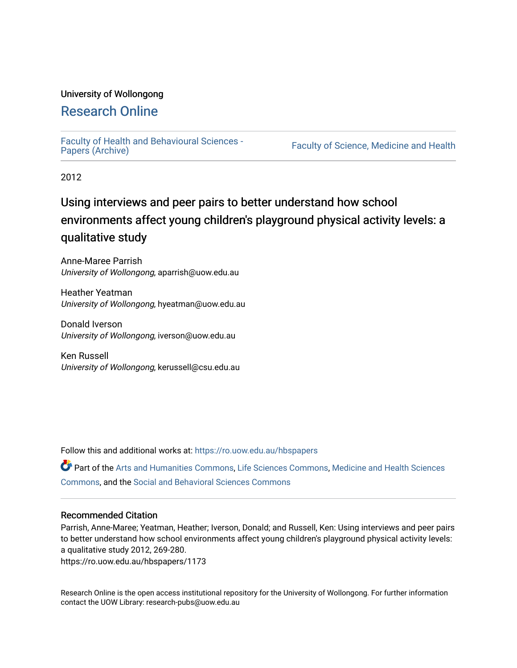#### University of Wollongong

# [Research Online](https://ro.uow.edu.au/)

[Faculty of Health and Behavioural Sciences -](https://ro.uow.edu.au/hbspapers)<br>Papers (Archive)

Faculty of Science, Medicine and Health

2012

# Using interviews and peer pairs to better understand how school environments affect young children's playground physical activity levels: a qualitative study

Anne-Maree Parrish University of Wollongong, aparrish@uow.edu.au

Heather Yeatman University of Wollongong, hyeatman@uow.edu.au

Donald Iverson University of Wollongong, iverson@uow.edu.au

Ken Russell University of Wollongong, kerussell@csu.edu.au

Follow this and additional works at: [https://ro.uow.edu.au/hbspapers](https://ro.uow.edu.au/hbspapers?utm_source=ro.uow.edu.au%2Fhbspapers%2F1173&utm_medium=PDF&utm_campaign=PDFCoverPages) 

Part of the [Arts and Humanities Commons,](http://network.bepress.com/hgg/discipline/438?utm_source=ro.uow.edu.au%2Fhbspapers%2F1173&utm_medium=PDF&utm_campaign=PDFCoverPages) [Life Sciences Commons,](http://network.bepress.com/hgg/discipline/1016?utm_source=ro.uow.edu.au%2Fhbspapers%2F1173&utm_medium=PDF&utm_campaign=PDFCoverPages) [Medicine and Health Sciences](http://network.bepress.com/hgg/discipline/648?utm_source=ro.uow.edu.au%2Fhbspapers%2F1173&utm_medium=PDF&utm_campaign=PDFCoverPages) [Commons](http://network.bepress.com/hgg/discipline/648?utm_source=ro.uow.edu.au%2Fhbspapers%2F1173&utm_medium=PDF&utm_campaign=PDFCoverPages), and the [Social and Behavioral Sciences Commons](http://network.bepress.com/hgg/discipline/316?utm_source=ro.uow.edu.au%2Fhbspapers%2F1173&utm_medium=PDF&utm_campaign=PDFCoverPages)

#### Recommended Citation

Parrish, Anne-Maree; Yeatman, Heather; Iverson, Donald; and Russell, Ken: Using interviews and peer pairs to better understand how school environments affect young children's playground physical activity levels: a qualitative study 2012, 269-280.

https://ro.uow.edu.au/hbspapers/1173

Research Online is the open access institutional repository for the University of Wollongong. For further information contact the UOW Library: research-pubs@uow.edu.au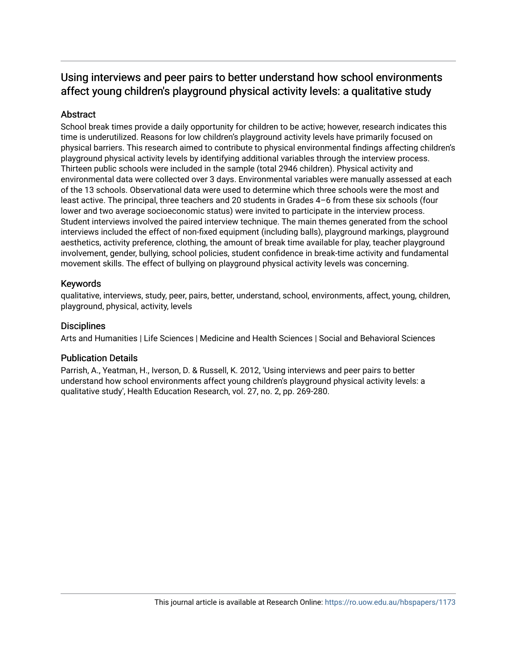# Using interviews and peer pairs to better understand how school environments affect young children's playground physical activity levels: a qualitative study

#### Abstract

School break times provide a daily opportunity for children to be active; however, research indicates this time is underutilized. Reasons for low children's playground activity levels have primarily focused on physical barriers. This research aimed to contribute to physical environmental findings affecting children's playground physical activity levels by identifying additional variables through the interview process. Thirteen public schools were included in the sample (total 2946 children). Physical activity and environmental data were collected over 3 days. Environmental variables were manually assessed at each of the 13 schools. Observational data were used to determine which three schools were the most and least active. The principal, three teachers and 20 students in Grades 4–6 from these six schools (four lower and two average socioeconomic status) were invited to participate in the interview process. Student interviews involved the paired interview technique. The main themes generated from the school interviews included the effect of non-fixed equipment (including balls), playground markings, playground aesthetics, activity preference, clothing, the amount of break time available for play, teacher playground involvement, gender, bullying, school policies, student confidence in break-time activity and fundamental movement skills. The effect of bullying on playground physical activity levels was concerning.

#### Keywords

qualitative, interviews, study, peer, pairs, better, understand, school, environments, affect, young, children, playground, physical, activity, levels

#### **Disciplines**

Arts and Humanities | Life Sciences | Medicine and Health Sciences | Social and Behavioral Sciences

#### Publication Details

Parrish, A., Yeatman, H., Iverson, D. & Russell, K. 2012, 'Using interviews and peer pairs to better understand how school environments affect young children's playground physical activity levels: a qualitative study', Health Education Research, vol. 27, no. 2, pp. 269-280.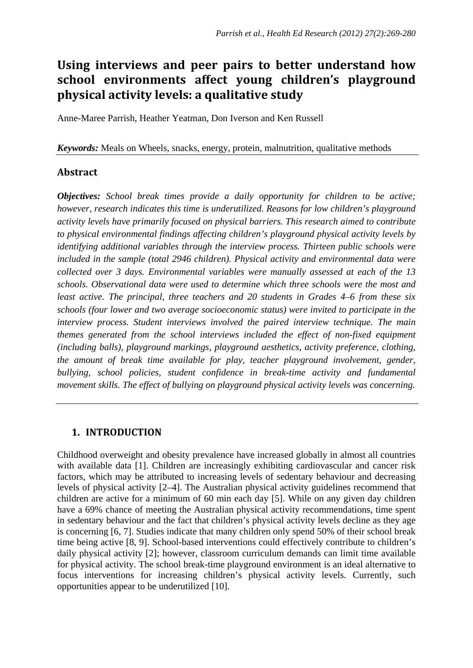# **Using interviews and peer pairs to better understand how school environments affect young children's playground physical activity levels: a qualitative study**

Anne-Maree Parrish, Heather Yeatman, Don Iverson and Ken Russell

*Keywords:* Meals on Wheels, snacks, energy, protein, malnutrition, qualitative methods

## **Abstract**

*Objectives: School break times provide a daily opportunity for children to be active; however, research indicates this time is underutilized. Reasons for low children's playground activity levels have primarily focused on physical barriers. This research aimed to contribute to physical environmental findings affecting children's playground physical activity levels by identifying additional variables through the interview process. Thirteen public schools were included in the sample (total 2946 children). Physical activity and environmental data were collected over 3 days. Environmental variables were manually assessed at each of the 13 schools. Observational data were used to determine which three schools were the most and least active. The principal, three teachers and 20 students in Grades 4–6 from these six schools (four lower and two average socioeconomic status) were invited to participate in the interview process. Student interviews involved the paired interview technique. The main themes generated from the school interviews included the effect of non-fixed equipment (including balls), playground markings, playground aesthetics, activity preference, clothing, the amount of break time available for play, teacher playground involvement, gender, bullying, school policies, student confidence in break-time activity and fundamental movement skills. The effect of bullying on playground physical activity levels was concerning.*

## **1. INTRODUCTION**

Childhood overweight and obesity prevalence have increased globally in almost all countries with available data [1]. Children are increasingly exhibiting cardiovascular and cancer risk factors, which may be attributed to increasing levels of sedentary behaviour and decreasing levels of physical activity [2–4]. The Australian physical activity guidelines recommend that children are active for a minimum of 60 min each day [5]. While on any given day children have a 69% chance of meeting the Australian physical activity recommendations, time spent in sedentary behaviour and the fact that children's physical activity levels decline as they age is concerning [6, 7]. Studies indicate that many children only spend 50% of their school break time being active [8, 9]. School-based interventions could effectively contribute to children's daily physical activity [2]; however, classroom curriculum demands can limit time available for physical activity. The school break-time playground environment is an ideal alternative to focus interventions for increasing children's physical activity levels. Currently, such opportunities appear to be underutilized [10].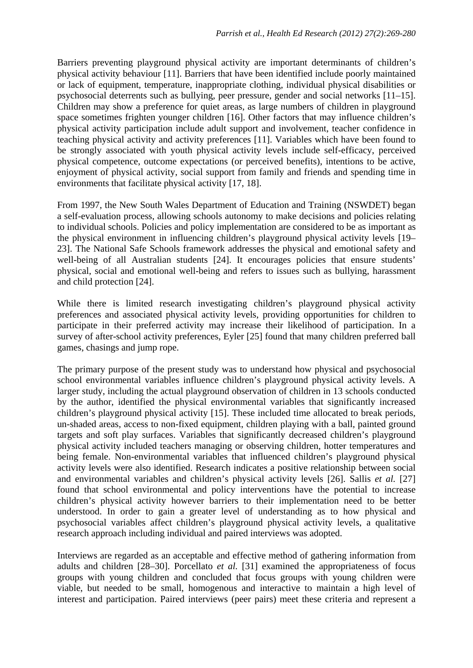Barriers preventing playground physical activity are important determinants of children's physical activity behaviour [11]. Barriers that have been identified include poorly maintained or lack of equipment, temperature, inappropriate clothing, individual physical disabilities or psychosocial deterrents such as bullying, peer pressure, gender and social networks [11–15]. Children may show a preference for quiet areas, as large numbers of children in playground space sometimes frighten younger children [16]. Other factors that may influence children's physical activity participation include adult support and involvement, teacher confidence in teaching physical activity and activity preferences [11]. Variables which have been found to be strongly associated with youth physical activity levels include self-efficacy, perceived physical competence, outcome expectations (or perceived benefits), intentions to be active, enjoyment of physical activity, social support from family and friends and spending time in environments that facilitate physical activity [17, 18].

From 1997, the New South Wales Department of Education and Training (NSWDET) began a self-evaluation process, allowing schools autonomy to make decisions and policies relating to individual schools. Policies and policy implementation are considered to be as important as the physical environment in influencing children's playground physical activity levels [19– 23]. The National Safe Schools framework addresses the physical and emotional safety and well-being of all Australian students [24]. It encourages policies that ensure students' physical, social and emotional well-being and refers to issues such as bullying, harassment and child protection [24].

While there is limited research investigating children's playground physical activity preferences and associated physical activity levels, providing opportunities for children to participate in their preferred activity may increase their likelihood of participation. In a survey of after-school activity preferences, Eyler [25] found that many children preferred ball games, chasings and jump rope.

The primary purpose of the present study was to understand how physical and psychosocial school environmental variables influence children's playground physical activity levels. A larger study, including the actual playground observation of children in 13 schools conducted by the author, identified the physical environmental variables that significantly increased children's playground physical activity [15]. These included time allocated to break periods, un-shaded areas, access to non-fixed equipment, children playing with a ball, painted ground targets and soft play surfaces. Variables that significantly decreased children's playground physical activity included teachers managing or observing children, hotter temperatures and being female. Non-environmental variables that influenced children's playground physical activity levels were also identified. Research indicates a positive relationship between social and environmental variables and children's physical activity levels [26]. Sallis *et al.* [27] found that school environmental and policy interventions have the potential to increase children's physical activity however barriers to their implementation need to be better understood. In order to gain a greater level of understanding as to how physical and psychosocial variables affect children's playground physical activity levels, a qualitative research approach including individual and paired interviews was adopted.

Interviews are regarded as an acceptable and effective method of gathering information from adults and children [28–30]. Porcellato *et al.* [31] examined the appropriateness of focus groups with young children and concluded that focus groups with young children were viable, but needed to be small, homogenous and interactive to maintain a high level of interest and participation. Paired interviews (peer pairs) meet these criteria and represent a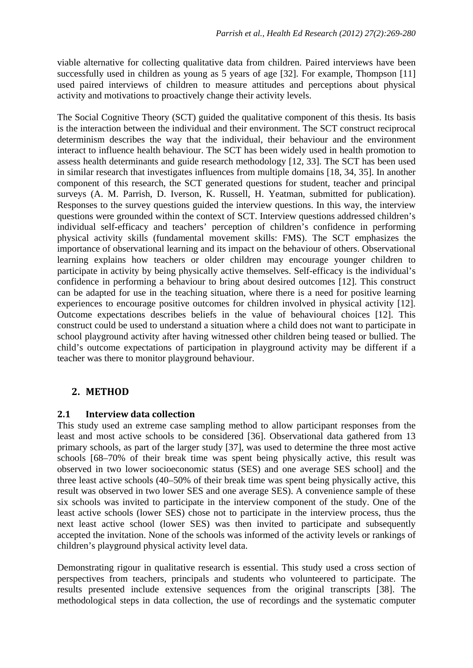viable alternative for collecting qualitative data from children. Paired interviews have been successfully used in children as young as 5 years of age [32]. For example, Thompson [11] used paired interviews of children to measure attitudes and perceptions about physical activity and motivations to proactively change their activity levels.

The Social Cognitive Theory (SCT) guided the qualitative component of this thesis. Its basis is the interaction between the individual and their environment. The SCT construct reciprocal determinism describes the way that the individual, their behaviour and the environment interact to influence health behaviour. The SCT has been widely used in health promotion to assess health determinants and guide research methodology [12, 33]. The SCT has been used in similar research that investigates influences from multiple domains [18, 34, 35]. In another component of this research, the SCT generated questions for student, teacher and principal surveys (A. M. Parrish, D. Iverson, K. Russell, H. Yeatman, submitted for publication). Responses to the survey questions guided the interview questions. In this way, the interview questions were grounded within the context of SCT. Interview questions addressed children's individual self-efficacy and teachers' perception of children's confidence in performing physical activity skills (fundamental movement skills: FMS). The SCT emphasizes the importance of observational learning and its impact on the behaviour of others. Observational learning explains how teachers or older children may encourage younger children to participate in activity by being physically active themselves. Self-efficacy is the individual's confidence in performing a behaviour to bring about desired outcomes [12]. This construct can be adapted for use in the teaching situation, where there is a need for positive learning experiences to encourage positive outcomes for children involved in physical activity [12]. Outcome expectations describes beliefs in the value of behavioural choices [12]. This construct could be used to understand a situation where a child does not want to participate in school playground activity after having witnessed other children being teased or bullied. The child's outcome expectations of participation in playground activity may be different if a teacher was there to monitor playground behaviour.

## **2. METHOD**

#### **2.1 Interview data collection**

This study used an extreme case sampling method to allow participant responses from the least and most active schools to be considered [36]. Observational data gathered from 13 primary schools, as part of the larger study [37], was used to determine the three most active schools [68–70% of their break time was spent being physically active, this result was observed in two lower socioeconomic status (SES) and one average SES school] and the three least active schools (40–50% of their break time was spent being physically active, this result was observed in two lower SES and one average SES). A convenience sample of these six schools was invited to participate in the interview component of the study. One of the least active schools (lower SES) chose not to participate in the interview process, thus the next least active school (lower SES) was then invited to participate and subsequently accepted the invitation. None of the schools was informed of the activity levels or rankings of children's playground physical activity level data.

Demonstrating rigour in qualitative research is essential. This study used a cross section of perspectives from teachers, principals and students who volunteered to participate. The results presented include extensive sequences from the original transcripts [38]. The methodological steps in data collection, the use of recordings and the systematic computer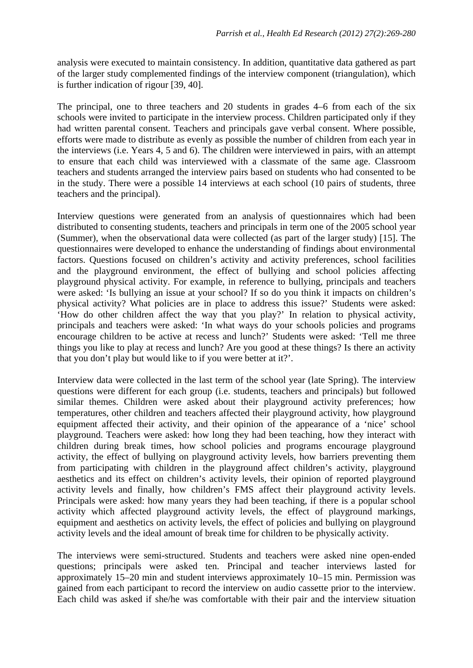analysis were executed to maintain consistency. In addition, quantitative data gathered as part of the larger study complemented findings of the interview component (triangulation), which is further indication of rigour [39, 40].

The principal, one to three teachers and 20 students in grades 4–6 from each of the six schools were invited to participate in the interview process. Children participated only if they had written parental consent. Teachers and principals gave verbal consent. Where possible, efforts were made to distribute as evenly as possible the number of children from each year in the interviews (i.e. Years 4, 5 and 6). The children were interviewed in pairs, with an attempt to ensure that each child was interviewed with a classmate of the same age. Classroom teachers and students arranged the interview pairs based on students who had consented to be in the study. There were a possible 14 interviews at each school (10 pairs of students, three teachers and the principal).

Interview questions were generated from an analysis of questionnaires which had been distributed to consenting students, teachers and principals in term one of the 2005 school year (Summer), when the observational data were collected (as part of the larger study) [15]. The questionnaires were developed to enhance the understanding of findings about environmental factors. Questions focused on children's activity and activity preferences, school facilities and the playground environment, the effect of bullying and school policies affecting playground physical activity. For example, in reference to bullying, principals and teachers were asked: 'Is bullying an issue at your school? If so do you think it impacts on children's physical activity? What policies are in place to address this issue?' Students were asked: 'How do other children affect the way that you play?' In relation to physical activity, principals and teachers were asked: 'In what ways do your schools policies and programs encourage children to be active at recess and lunch?' Students were asked: 'Tell me three things you like to play at recess and lunch? Are you good at these things? Is there an activity that you don't play but would like to if you were better at it?'.

Interview data were collected in the last term of the school year (late Spring). The interview questions were different for each group (i.e. students, teachers and principals) but followed similar themes. Children were asked about their playground activity preferences; how temperatures, other children and teachers affected their playground activity, how playground equipment affected their activity, and their opinion of the appearance of a 'nice' school playground. Teachers were asked: how long they had been teaching, how they interact with children during break times, how school policies and programs encourage playground activity, the effect of bullying on playground activity levels, how barriers preventing them from participating with children in the playground affect children's activity, playground aesthetics and its effect on children's activity levels, their opinion of reported playground activity levels and finally, how children's FMS affect their playground activity levels. Principals were asked: how many years they had been teaching, if there is a popular school activity which affected playground activity levels, the effect of playground markings, equipment and aesthetics on activity levels, the effect of policies and bullying on playground activity levels and the ideal amount of break time for children to be physically activity.

The interviews were semi-structured. Students and teachers were asked nine open-ended questions; principals were asked ten. Principal and teacher interviews lasted for approximately 15–20 min and student interviews approximately 10–15 min. Permission was gained from each participant to record the interview on audio cassette prior to the interview. Each child was asked if she/he was comfortable with their pair and the interview situation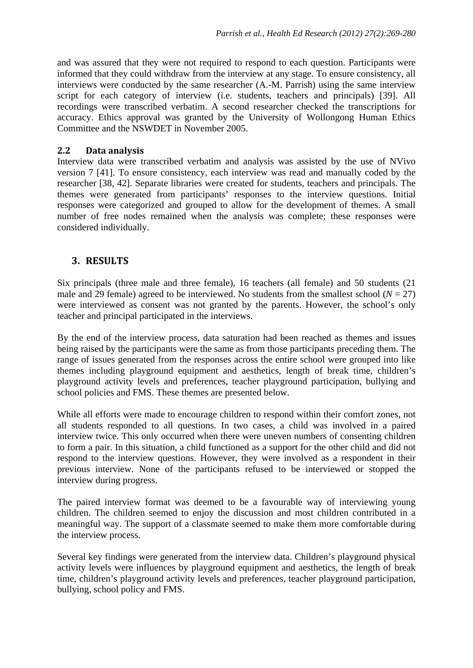and was assured that they were not required to respond to each question. Participants were informed that they could withdraw from the interview at any stage. To ensure consistency, all interviews were conducted by the same researcher (A.-M. Parrish) using the same interview script for each category of interview (i.e. students, teachers and principals) [39]. All recordings were transcribed verbatim. A second researcher checked the transcriptions for accuracy. Ethics approval was granted by the University of Wollongong Human Ethics Committee and the NSWDET in November 2005.

#### **2.2 Data analysis**

Interview data were transcribed verbatim and analysis was assisted by the use of NVivo version 7 [41]. To ensure consistency, each interview was read and manually coded by the researcher [38, 42]. Separate libraries were created for students, teachers and principals. The themes were generated from participants' responses to the interview questions. Initial responses were categorized and grouped to allow for the development of themes. A small number of free nodes remained when the analysis was complete; these responses were considered individually.

## **3. RESULTS**

Six principals (three male and three female), 16 teachers (all female) and 50 students (21 male and 29 female) agreed to be interviewed. No students from the smallest school  $(N = 27)$ were interviewed as consent was not granted by the parents. However, the school's only teacher and principal participated in the interviews.

By the end of the interview process, data saturation had been reached as themes and issues being raised by the participants were the same as from those participants preceding them. The range of issues generated from the responses across the entire school were grouped into like themes including playground equipment and aesthetics, length of break time, children's playground activity levels and preferences, teacher playground participation, bullying and school policies and FMS. These themes are presented below.

While all efforts were made to encourage children to respond within their comfort zones, not all students responded to all questions. In two cases, a child was involved in a paired interview twice. This only occurred when there were uneven numbers of consenting children to form a pair. In this situation, a child functioned as a support for the other child and did not respond to the interview questions. However, they were involved as a respondent in their previous interview. None of the participants refused to be interviewed or stopped the interview during progress.

The paired interview format was deemed to be a favourable way of interviewing young children. The children seemed to enjoy the discussion and most children contributed in a meaningful way. The support of a classmate seemed to make them more comfortable during the interview process.

Several key findings were generated from the interview data. Children's playground physical activity levels were influences by playground equipment and aesthetics, the length of break time, children's playground activity levels and preferences, teacher playground participation, bullying, school policy and FMS.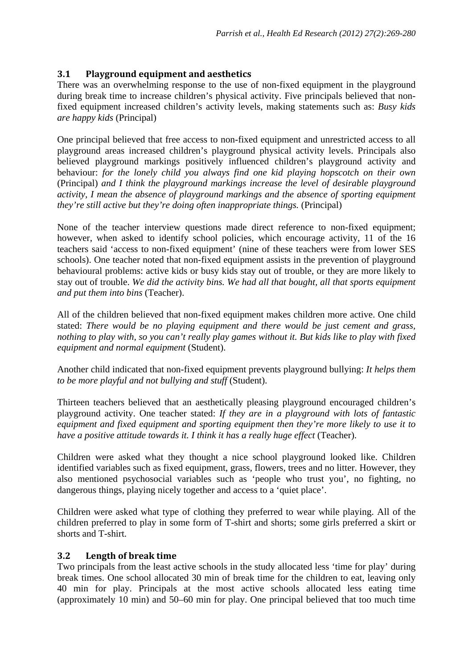#### **3.1 Playground equipment and aesthetics**

There was an overwhelming response to the use of non-fixed equipment in the playground during break time to increase children's physical activity. Five principals believed that nonfixed equipment increased children's activity levels, making statements such as: *Busy kids are happy kids* (Principal)

One principal believed that free access to non-fixed equipment and unrestricted access to all playground areas increased children's playground physical activity levels. Principals also believed playground markings positively influenced children's playground activity and behaviour: *for the lonely child you always find one kid playing hopscotch on their own* (Principal) *and I think the playground markings increase the level of desirable playground activity, I mean the absence of playground markings and the absence of sporting equipment they're still active but they're doing often inappropriate things.* (Principal)

None of the teacher interview questions made direct reference to non-fixed equipment; however, when asked to identify school policies, which encourage activity, 11 of the 16 teachers said 'access to non-fixed equipment' (nine of these teachers were from lower SES schools). One teacher noted that non-fixed equipment assists in the prevention of playground behavioural problems: active kids or busy kids stay out of trouble, or they are more likely to stay out of trouble. *We did the activity bins. We had all that bought, all that sports equipment and put them into bins* (Teacher).

All of the children believed that non-fixed equipment makes children more active. One child stated: *There would be no playing equipment and there would be just cement and grass, nothing to play with, so you can't really play games without it. But kids like to play with fixed equipment and normal equipment* (Student).

Another child indicated that non-fixed equipment prevents playground bullying: *It helps them to be more playful and not bullying and stuff* (Student).

Thirteen teachers believed that an aesthetically pleasing playground encouraged children's playground activity. One teacher stated: *If they are in a playground with lots of fantastic equipment and fixed equipment and sporting equipment then they're more likely to use it to have a positive attitude towards it. I think it has a really huge effect* (Teacher).

Children were asked what they thought a nice school playground looked like. Children identified variables such as fixed equipment, grass, flowers, trees and no litter. However, they also mentioned psychosocial variables such as 'people who trust you', no fighting, no dangerous things, playing nicely together and access to a 'quiet place'.

Children were asked what type of clothing they preferred to wear while playing. All of the children preferred to play in some form of T-shirt and shorts; some girls preferred a skirt or shorts and T-shirt.

#### **3.2 Length of break time**

Two principals from the least active schools in the study allocated less 'time for play' during break times. One school allocated 30 min of break time for the children to eat, leaving only 40 min for play. Principals at the most active schools allocated less eating time (approximately 10 min) and 50–60 min for play. One principal believed that too much time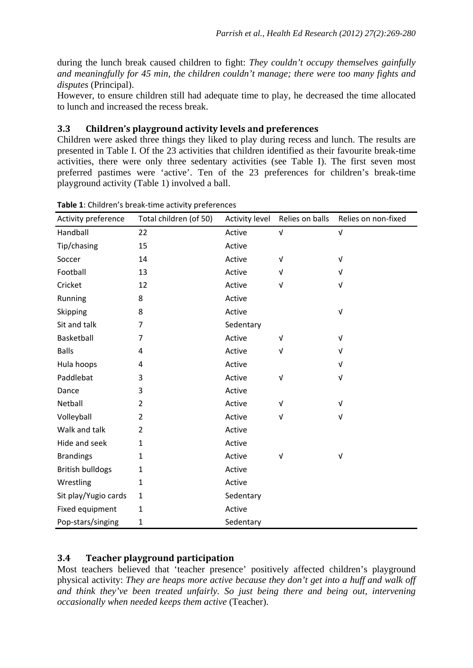during the lunch break caused children to fight: *They couldn't occupy themselves gainfully and meaningfully for 45 min, the children couldn't manage; there were too many fights and disputes* (Principal).

However, to ensure children still had adequate time to play, he decreased the time allocated to lunch and increased the recess break.

#### **3.3 Children's playground activity levels and preferences**

Children were asked three things they liked to play during recess and lunch. The results are presented in Table I. Of the 23 activities that children identified as their favourite break-time activities, there were only three sedentary activities (see Table I). The first seven most preferred pastimes were 'active'. Ten of the 23 preferences for children's break-time playground activity (Table 1) involved a ball.

| Activity preference     | Total children (of 50) | Activity level | Relies on balls | Relies on non-fixed       |
|-------------------------|------------------------|----------------|-----------------|---------------------------|
| Handball                | 22                     | Active         | $\sqrt{ }$      | $\sqrt{ }$                |
| Tip/chasing             | 15                     | Active         |                 |                           |
| Soccer                  | 14                     | Active         | V               | V                         |
| Football                | 13                     | Active         | V               | $\sqrt{ }$                |
| Cricket                 | 12                     | Active         | V               | $\sqrt{ }$                |
| Running                 | 8                      | Active         |                 |                           |
| Skipping                | 8                      | Active         |                 | $\ensuremath{\mathsf{V}}$ |
| Sit and talk            | $\overline{7}$         | Sedentary      |                 |                           |
| Basketball              | 7                      | Active         | $\sqrt{ }$      | $\sqrt{ }$                |
| <b>Balls</b>            | 4                      | Active         | V               | $\sqrt{ }$                |
| Hula hoops              | $\overline{a}$         | Active         |                 | $\sqrt{ }$                |
| Paddlebat               | 3                      | Active         | V               | $\sqrt{ }$                |
| Dance                   | 3                      | Active         |                 |                           |
| Netball                 | $\overline{2}$         | Active         | V               | $\sqrt{ }$                |
| Volleyball              | $\overline{2}$         | Active         | V               | $\ensuremath{\mathsf{V}}$ |
| Walk and talk           | $\overline{2}$         | Active         |                 |                           |
| Hide and seek           | $\mathbf{1}$           | Active         |                 |                           |
| <b>Brandings</b>        | 1                      | Active         | V               | $\sqrt{ }$                |
| <b>British bulldogs</b> | $\mathbf{1}$           | Active         |                 |                           |
| Wrestling               | 1                      | Active         |                 |                           |
| Sit play/Yugio cards    | $\mathbf{1}$           | Sedentary      |                 |                           |
| Fixed equipment         | $\mathbf{1}$           | Active         |                 |                           |
| Pop-stars/singing       | $\mathbf 1$            | Sedentary      |                 |                           |

**Table 1**: Children's break‐time activity preferences

## **3.4 Teacher playground participation**

Most teachers believed that 'teacher presence' positively affected children's playground physical activity: *They are heaps more active because they don't get into a huff and walk off and think they've been treated unfairly. So just being there and being out, intervening occasionally when needed keeps them active* (Teacher).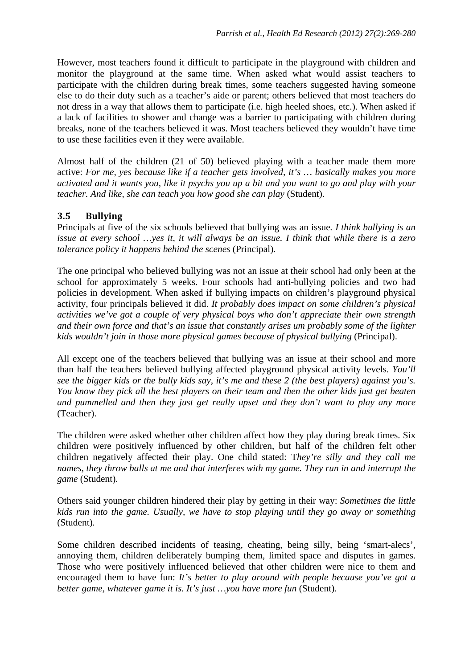However, most teachers found it difficult to participate in the playground with children and monitor the playground at the same time. When asked what would assist teachers to participate with the children during break times, some teachers suggested having someone else to do their duty such as a teacher's aide or parent; others believed that most teachers do not dress in a way that allows them to participate (i.e. high heeled shoes, etc.). When asked if a lack of facilities to shower and change was a barrier to participating with children during breaks, none of the teachers believed it was. Most teachers believed they wouldn't have time to use these facilities even if they were available.

Almost half of the children (21 of 50) believed playing with a teacher made them more active: *For me, yes because like if a teacher gets involved, it's … basically makes you more activated and it wants you, like it psychs you up a bit and you want to go and play with your teacher. And like, she can teach you how good she can play* (Student).

#### **3.5 Bullying**

Principals at five of the six schools believed that bullying was an issue*. I think bullying is an issue at every school …yes it, it will always be an issue. I think that while there is a zero tolerance policy it happens behind the scenes* (Principal).

The one principal who believed bullying was not an issue at their school had only been at the school for approximately 5 weeks. Four schools had anti-bullying policies and two had policies in development. When asked if bullying impacts on children's playground physical activity, four principals believed it did. *It probably does impact on some children's physical activities we've got a couple of very physical boys who don't appreciate their own strength and their own force and that's an issue that constantly arises um probably some of the lighter kids wouldn't join in those more physical games because of physical bullying* (Principal).

All except one of the teachers believed that bullying was an issue at their school and more than half the teachers believed bullying affected playground physical activity levels. *You'll see the bigger kids or the bully kids say, it's me and these 2 (the best players) against you's. You know they pick all the best players on their team and then the other kids just get beaten and pummelled and then they just get really upset and they don't want to play any more*  (Teacher).

The children were asked whether other children affect how they play during break times. Six children were positively influenced by other children, but half of the children felt other children negatively affected their play. One child stated: T*hey're silly and they call me names, they throw balls at me and that interferes with my game. They run in and interrupt the game* (Student)*.*

Others said younger children hindered their play by getting in their way: *Sometimes the little kids run into the game. Usually, we have to stop playing until they go away or something* (Student)*.*

Some children described incidents of teasing, cheating, being silly, being 'smart-alecs', annoying them, children deliberately bumping them, limited space and disputes in games. Those who were positively influenced believed that other children were nice to them and encouraged them to have fun: *It's better to play around with people because you've got a better game, whatever game it is. It's just ...you have more fun (Student).*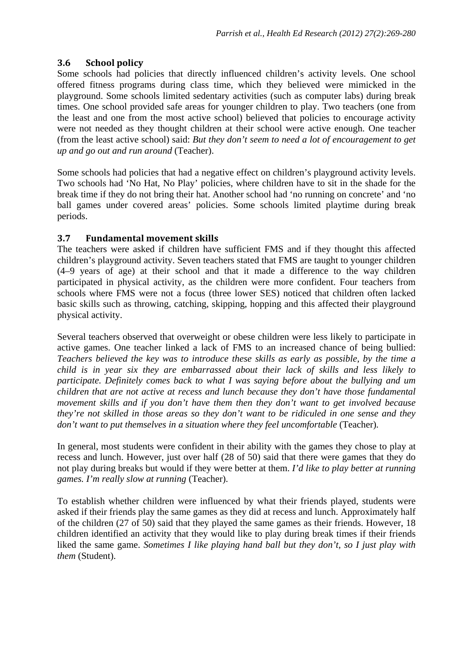## **3.6 School policy**

Some schools had policies that directly influenced children's activity levels. One school offered fitness programs during class time, which they believed were mimicked in the playground. Some schools limited sedentary activities (such as computer labs) during break times. One school provided safe areas for younger children to play. Two teachers (one from the least and one from the most active school) believed that policies to encourage activity were not needed as they thought children at their school were active enough. One teacher (from the least active school) said: *But they don't seem to need a lot of encouragement to get up and go out and run around* (Teacher).

Some schools had policies that had a negative effect on children's playground activity levels. Two schools had 'No Hat, No Play' policies, where children have to sit in the shade for the break time if they do not bring their hat. Another school had 'no running on concrete' and 'no ball games under covered areas' policies. Some schools limited playtime during break periods.

#### **3.7 Fundamental movement skills**

The teachers were asked if children have sufficient FMS and if they thought this affected children's playground activity. Seven teachers stated that FMS are taught to younger children (4–9 years of age) at their school and that it made a difference to the way children participated in physical activity, as the children were more confident. Four teachers from schools where FMS were not a focus (three lower SES) noticed that children often lacked basic skills such as throwing, catching, skipping, hopping and this affected their playground physical activity.

Several teachers observed that overweight or obese children were less likely to participate in active games. One teacher linked a lack of FMS to an increased chance of being bullied: *Teachers believed the key was to introduce these skills as early as possible, by the time a child is in year six they are embarrassed about their lack of skills and less likely to participate. Definitely comes back to what I was saying before about the bullying and um children that are not active at recess and lunch because they don't have those fundamental movement skills and if you don't have them then they don't want to get involved because they're not skilled in those areas so they don't want to be ridiculed in one sense and they don't want to put themselves in a situation where they feel uncomfortable* (Teacher)*.*

In general, most students were confident in their ability with the games they chose to play at recess and lunch. However, just over half (28 of 50) said that there were games that they do not play during breaks but would if they were better at them. *I'd like to play better at running games. I'm really slow at running* (Teacher).

To establish whether children were influenced by what their friends played, students were asked if their friends play the same games as they did at recess and lunch. Approximately half of the children (27 of 50) said that they played the same games as their friends. However, 18 children identified an activity that they would like to play during break times if their friends liked the same game. *Sometimes I like playing hand ball but they don't, so I just play with them* (Student).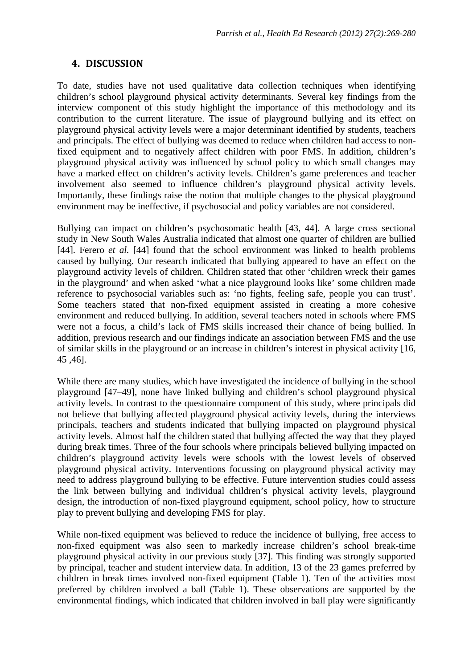#### **4. DISCUSSION**

To date, studies have not used qualitative data collection techniques when identifying children's school playground physical activity determinants. Several key findings from the interview component of this study highlight the importance of this methodology and its contribution to the current literature. The issue of playground bullying and its effect on playground physical activity levels were a major determinant identified by students, teachers and principals. The effect of bullying was deemed to reduce when children had access to nonfixed equipment and to negatively affect children with poor FMS. In addition, children's playground physical activity was influenced by school policy to which small changes may have a marked effect on children's activity levels. Children's game preferences and teacher involvement also seemed to influence children's playground physical activity levels. Importantly, these findings raise the notion that multiple changes to the physical playground environment may be ineffective, if psychosocial and policy variables are not considered.

Bullying can impact on children's psychosomatic health [43, 44]. A large cross sectional study in New South Wales Australia indicated that almost one quarter of children are bullied [44]. Ferero *et al.* [44] found that the school environment was linked to health problems caused by bullying. Our research indicated that bullying appeared to have an effect on the playground activity levels of children. Children stated that other 'children wreck their games in the playground' and when asked 'what a nice playground looks like' some children made reference to psychosocial variables such as: 'no fights, feeling safe, people you can trust'. Some teachers stated that non-fixed equipment assisted in creating a more cohesive environment and reduced bullying. In addition, several teachers noted in schools where FMS were not a focus, a child's lack of FMS skills increased their chance of being bullied. In addition, previous research and our findings indicate an association between FMS and the use of similar skills in the playground or an increase in children's interest in physical activity [16, 45 ,46].

While there are many studies, which have investigated the incidence of bullying in the school playground [47–49], none have linked bullying and children's school playground physical activity levels. In contrast to the questionnaire component of this study, where principals did not believe that bullying affected playground physical activity levels, during the interviews principals, teachers and students indicated that bullying impacted on playground physical activity levels. Almost half the children stated that bullying affected the way that they played during break times. Three of the four schools where principals believed bullying impacted on children's playground activity levels were schools with the lowest levels of observed playground physical activity. Interventions focussing on playground physical activity may need to address playground bullying to be effective. Future intervention studies could assess the link between bullying and individual children's physical activity levels, playground design, the introduction of non-fixed playground equipment, school policy, how to structure play to prevent bullying and developing FMS for play.

While non-fixed equipment was believed to reduce the incidence of bullying, free access to non-fixed equipment was also seen to markedly increase children's school break-time playground physical activity in our previous study [37]. This finding was strongly supported by principal, teacher and student interview data. In addition, 13 of the 23 games preferred by children in break times involved non-fixed equipment (Table 1). Ten of the activities most preferred by children involved a ball (Table 1). These observations are supported by the environmental findings, which indicated that children involved in ball play were significantly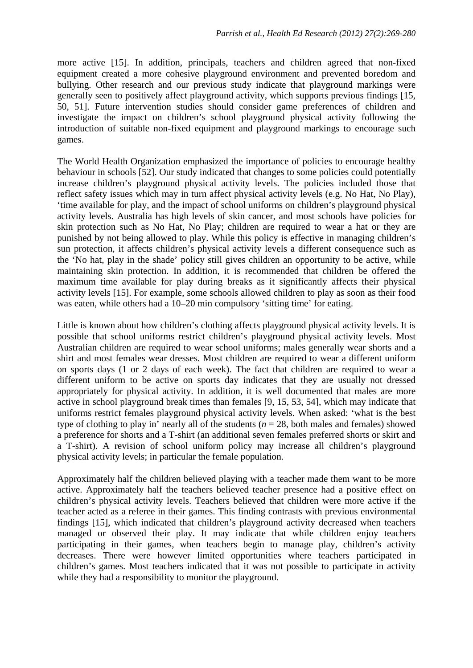more active [15]. In addition, principals, teachers and children agreed that non-fixed equipment created a more cohesive playground environment and prevented boredom and bullying. Other research and our previous study indicate that playground markings were generally seen to positively affect playground activity, which supports previous findings [15, 50, 51]. Future intervention studies should consider game preferences of children and investigate the impact on children's school playground physical activity following the introduction of suitable non-fixed equipment and playground markings to encourage such games.

The World Health Organization emphasized the importance of policies to encourage healthy behaviour in schools [52]. Our study indicated that changes to some policies could potentially increase children's playground physical activity levels. The policies included those that reflect safety issues which may in turn affect physical activity levels (e.g. No Hat, No Play), 'time available for play, and the impact of school uniforms on children's playground physical activity levels. Australia has high levels of skin cancer, and most schools have policies for skin protection such as No Hat, No Play; children are required to wear a hat or they are punished by not being allowed to play. While this policy is effective in managing children's sun protection, it affects children's physical activity levels a different consequence such as the 'No hat, play in the shade' policy still gives children an opportunity to be active, while maintaining skin protection. In addition, it is recommended that children be offered the maximum time available for play during breaks as it significantly affects their physical activity levels [15]. For example, some schools allowed children to play as soon as their food was eaten, while others had a 10–20 min compulsory 'sitting time' for eating.

Little is known about how children's clothing affects playground physical activity levels. It is possible that school uniforms restrict children's playground physical activity levels. Most Australian children are required to wear school uniforms; males generally wear shorts and a shirt and most females wear dresses. Most children are required to wear a different uniform on sports days (1 or 2 days of each week). The fact that children are required to wear a different uniform to be active on sports day indicates that they are usually not dressed appropriately for physical activity. In addition, it is well documented that males are more active in school playground break times than females [9, 15, 53, 54], which may indicate that uniforms restrict females playground physical activity levels. When asked: 'what is the best type of clothing to play in' nearly all of the students ( $n = 28$ , both males and females) showed a preference for shorts and a T-shirt (an additional seven females preferred shorts or skirt and a T-shirt). A revision of school uniform policy may increase all children's playground physical activity levels; in particular the female population.

Approximately half the children believed playing with a teacher made them want to be more active. Approximately half the teachers believed teacher presence had a positive effect on children's physical activity levels. Teachers believed that children were more active if the teacher acted as a referee in their games. This finding contrasts with previous environmental findings [15], which indicated that children's playground activity decreased when teachers managed or observed their play. It may indicate that while children enjoy teachers participating in their games, when teachers begin to manage play, children's activity decreases. There were however limited opportunities where teachers participated in children's games. Most teachers indicated that it was not possible to participate in activity while they had a responsibility to monitor the playground.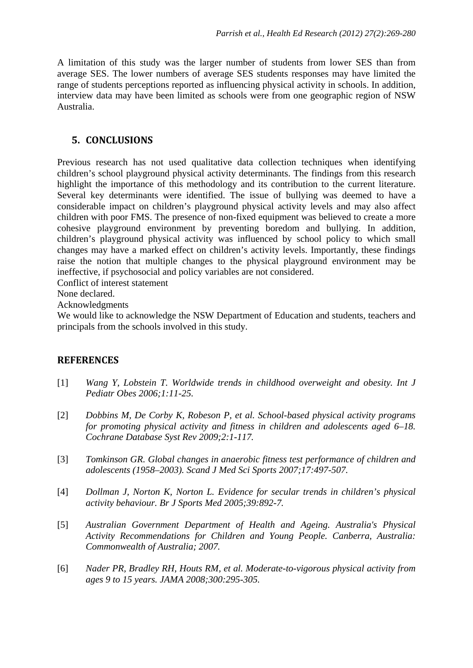A limitation of this study was the larger number of students from lower SES than from average SES. The lower numbers of average SES students responses may have limited the range of students perceptions reported as influencing physical activity in schools. In addition, interview data may have been limited as schools were from one geographic region of NSW Australia.

## **5. CONCLUSIONS**

Previous research has not used qualitative data collection techniques when identifying children's school playground physical activity determinants. The findings from this research highlight the importance of this methodology and its contribution to the current literature. Several key determinants were identified. The issue of bullying was deemed to have a considerable impact on children's playground physical activity levels and may also affect children with poor FMS. The presence of non-fixed equipment was believed to create a more cohesive playground environment by preventing boredom and bullying. In addition, children's playground physical activity was influenced by school policy to which small changes may have a marked effect on children's activity levels. Importantly, these findings raise the notion that multiple changes to the physical playground environment may be ineffective, if psychosocial and policy variables are not considered.

Conflict of interest statement

None declared.

Acknowledgments

We would like to acknowledge the NSW Department of Education and students, teachers and principals from the schools involved in this study.

## **REFERENCES**

- [1] *Wang Y, Lobstein T. Worldwide trends in childhood overweight and obesity. Int J Pediatr Obes 2006;1:11-25.*
- [2] *Dobbins M, De Corby K, Robeson P, et al. School-based physical activity programs for promoting physical activity and fitness in children and adolescents aged 6–18. Cochrane Database Syst Rev 2009;2:1-117.*
- [3] *Tomkinson GR. Global changes in anaerobic fitness test performance of children and adolescents (1958–2003). Scand J Med Sci Sports 2007;17:497-507.*
- [4] *Dollman J, Norton K, Norton L. Evidence for secular trends in children's physical activity behaviour. Br J Sports Med 2005;39:892-7.*
- [5] *Australian Government Department of Health and Ageing. Australia's Physical Activity Recommendations for Children and Young People. Canberra, Australia: Commonwealth of Australia; 2007.*
- [6] *Nader PR, Bradley RH, Houts RM, et al. Moderate-to-vigorous physical activity from ages 9 to 15 years. JAMA 2008;300:295-305.*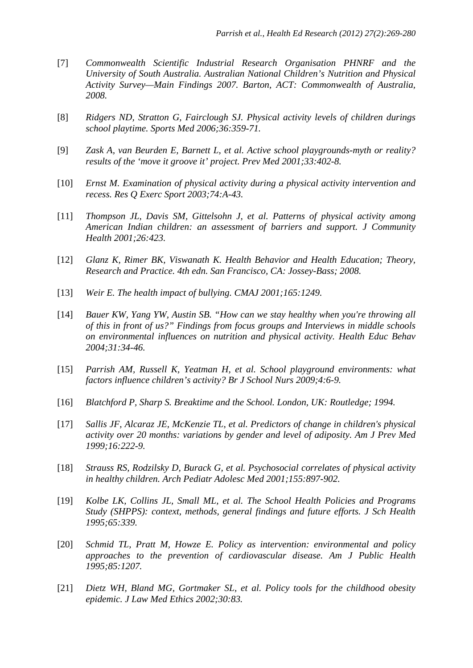- [7] *Commonwealth Scientific Industrial Research Organisation PHNRF and the University of South Australia. Australian National Children's Nutrition and Physical Activity Survey—Main Findings 2007. Barton, ACT: Commonwealth of Australia, 2008.*
- [8] *Ridgers ND, Stratton G, Fairclough SJ. Physical activity levels of children durings school playtime. Sports Med 2006;36:359-71.*
- [9] *Zask A, van Beurden E, Barnett L, et al. Active school playgrounds-myth or reality? results of the 'move it groove it' project. Prev Med 2001;33:402-8.*
- [10] *Ernst M. Examination of physical activity during a physical activity intervention and recess. Res Q Exerc Sport 2003;74:A-43.*
- [11] *Thompson JL, Davis SM, Gittelsohn J, et al. Patterns of physical activity among American Indian children: an assessment of barriers and support. J Community Health 2001;26:423.*
- [12] *Glanz K, Rimer BK, Viswanath K. Health Behavior and Health Education; Theory, Research and Practice. 4th edn. San Francisco, CA: Jossey-Bass; 2008.*
- [13] *Weir E. The health impact of bullying. CMAJ 2001;165:1249.*
- [14] *Bauer KW, Yang YW, Austin SB. "How can we stay healthy when you're throwing all of this in front of us?" Findings from focus groups and Interviews in middle schools on environmental influences on nutrition and physical activity. Health Educ Behav 2004;31:34-46.*
- [15] *Parrish AM, Russell K, Yeatman H, et al. School playground environments: what factors influence children's activity? Br J School Nurs 2009;4:6-9.*
- [16] *Blatchford P, Sharp S. Breaktime and the School. London, UK: Routledge; 1994.*
- [17] *Sallis JF, Alcaraz JE, McKenzie TL, et al. Predictors of change in children's physical activity over 20 months: variations by gender and level of adiposity. Am J Prev Med 1999;16:222-9.*
- [18] *Strauss RS, Rodzilsky D, Burack G, et al. Psychosocial correlates of physical activity in healthy children. Arch Pediatr Adolesc Med 2001;155:897-902.*
- [19] *Kolbe LK, Collins JL, Small ML, et al. The School Health Policies and Programs Study (SHPPS): context, methods, general findings and future efforts. J Sch Health 1995;65:339.*
- [20] *Schmid TL, Pratt M, Howze E. Policy as intervention: environmental and policy approaches to the prevention of cardiovascular disease. Am J Public Health 1995;85:1207.*
- [21] *Dietz WH, Bland MG, Gortmaker SL, et al. Policy tools for the childhood obesity epidemic. J Law Med Ethics 2002;30:83.*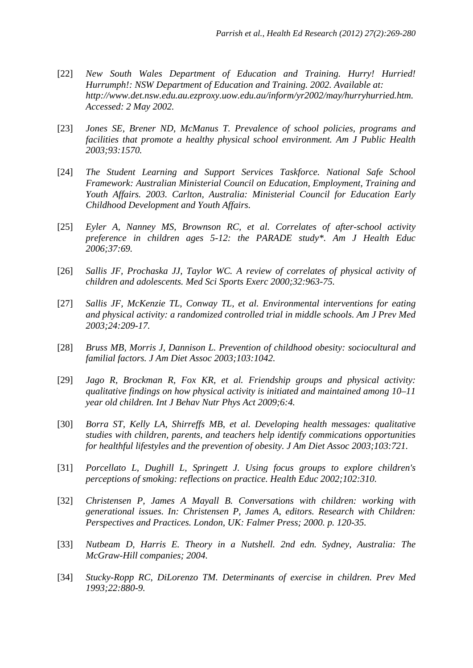- [22] *New South Wales Department of Education and Training. Hurry! Hurried! Hurrumph!: NSW Department of Education and Training. 2002. Available at: http://www.det.nsw.edu.au.ezproxy.uow.edu.au/inform/yr2002/may/hurryhurried.htm. Accessed: 2 May 2002.*
- [23] *Jones SE, Brener ND, McManus T. Prevalence of school policies, programs and facilities that promote a healthy physical school environment. Am J Public Health 2003;93:1570.*
- [24] *The Student Learning and Support Services Taskforce. National Safe School Framework: Australian Ministerial Council on Education, Employment, Training and Youth Affairs. 2003. Carlton, Australia: Ministerial Council for Education Early Childhood Development and Youth Affairs.*
- [25] *Eyler A, Nanney MS, Brownson RC, et al. Correlates of after-school activity preference in children ages 5-12: the PARADE study\*. Am J Health Educ 2006;37:69.*
- [26] *Sallis JF, Prochaska JJ, Taylor WC. A review of correlates of physical activity of children and adolescents. Med Sci Sports Exerc 2000;32:963-75.*
- [27] *Sallis JF, McKenzie TL, Conway TL, et al. Environmental interventions for eating and physical activity: a randomized controlled trial in middle schools. Am J Prev Med 2003;24:209-17.*
- [28] *Bruss MB, Morris J, Dannison L. Prevention of childhood obesity: sociocultural and familial factors. J Am Diet Assoc 2003;103:1042.*
- [29] *Jago R, Brockman R, Fox KR, et al. Friendship groups and physical activity: qualitative findings on how physical activity is initiated and maintained among 10–11 year old children. Int J Behav Nutr Phys Act 2009;6:4.*
- [30] *Borra ST, Kelly LA, Shirreffs MB, et al. Developing health messages: qualitative studies with children, parents, and teachers help identify commications opportunities for healthful lifestyles and the prevention of obesity. J Am Diet Assoc 2003;103:721.*
- [31] *Porcellato L, Dughill L, Springett J. Using focus groups to explore children's perceptions of smoking: reflections on practice. Health Educ 2002;102:310.*
- [32] *Christensen P, James A Mayall B. Conversations with children: working with generational issues. In: Christensen P, James A, editors. Research with Children: Perspectives and Practices. London, UK: Falmer Press; 2000. p. 120-35.*
- [33] *Nutbeam D, Harris E. Theory in a Nutshell. 2nd edn. Sydney, Australia: The McGraw-Hill companies; 2004.*
- [34] *Stucky-Ropp RC, DiLorenzo TM. Determinants of exercise in children. Prev Med 1993;22:880-9.*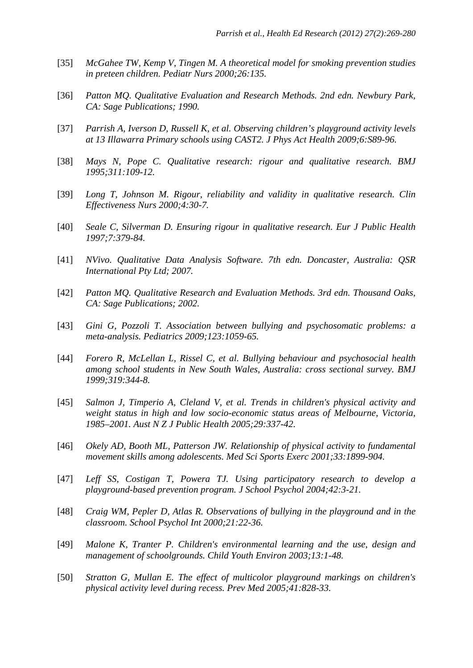- [35] *McGahee TW, Kemp V, Tingen M. A theoretical model for smoking prevention studies in preteen children. Pediatr Nurs 2000;26:135.*
- [36] *Patton MQ. Qualitative Evaluation and Research Methods. 2nd edn. Newbury Park, CA: Sage Publications; 1990.*
- [37] *Parrish A, Iverson D, Russell K, et al. Observing children's playground activity levels at 13 Illawarra Primary schools using CAST2. J Phys Act Health 2009;6:S89-96.*
- [38] *Mays N, Pope C. Qualitative research: rigour and qualitative research. BMJ 1995;311:109-12.*
- [39] *Long T, Johnson M. Rigour, reliability and validity in qualitative research. Clin Effectiveness Nurs 2000;4:30-7.*
- [40] *Seale C, Silverman D. Ensuring rigour in qualitative research. Eur J Public Health 1997;7:379-84.*
- [41] *NVivo. Qualitative Data Analysis Software. 7th edn. Doncaster, Australia: QSR International Pty Ltd; 2007.*
- [42] *Patton MQ. Qualitative Research and Evaluation Methods. 3rd edn. Thousand Oaks, CA: Sage Publications; 2002.*
- [43] *Gini G, Pozzoli T. Association between bullying and psychosomatic problems: a meta-analysis. Pediatrics 2009;123:1059-65.*
- [44] *Forero R, McLellan L, Rissel C, et al. Bullying behaviour and psychosocial health among school students in New South Wales, Australia: cross sectional survey. BMJ 1999;319:344-8.*
- [45] *Salmon J, Timperio A, Cleland V, et al. Trends in children's physical activity and weight status in high and low socio-economic status areas of Melbourne, Victoria, 1985–2001. Aust N Z J Public Health 2005;29:337-42.*
- [46] *Okely AD, Booth ML, Patterson JW. Relationship of physical activity to fundamental movement skills among adolescents. Med Sci Sports Exerc 2001;33:1899-904.*
- [47] *Leff SS, Costigan T, Powera TJ. Using participatory research to develop a playground-based prevention program. J School Psychol 2004;42:3-21.*
- [48] *Craig WM, Pepler D, Atlas R. Observations of bullying in the playground and in the classroom. School Psychol Int 2000;21:22-36.*
- [49] *Malone K, Tranter P. Children's environmental learning and the use, design and management of schoolgrounds. Child Youth Environ 2003;13:1-48.*
- [50] *Stratton G, Mullan E. The effect of multicolor playground markings on children's physical activity level during recess. Prev Med 2005;41:828-33.*